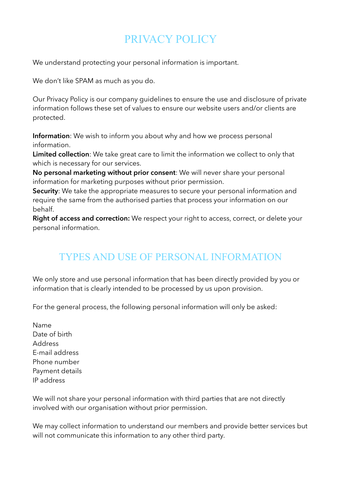## PRIVACY POLICY

We understand protecting your personal information is important.

We don't like SPAM as much as you do.

Our Privacy Policy is our company guidelines to ensure the use and disclosure of private information follows these set of values to ensure our website users and/or clients are protected.

**Information**: We wish to inform you about why and how we process personal information.

**Limited collection**: We take great care to limit the information we collect to only that which is necessary for our services.

**No personal marketing without prior consent**: We will never share your personal information for marketing purposes without prior permission.

**Security**: We take the appropriate measures to secure your personal information and require the same from the authorised parties that process your information on our behalf.

**Right of access and correction:** We respect your right to access, correct, or delete your personal information.

## TYPES AND USE OF PERSONAL INFORMATION

We only store and use personal information that has been directly provided by you or information that is clearly intended to be processed by us upon provision.

For the general process, the following personal information will only be asked:

Name Date of birth Address E-mail address Phone number Payment details IP address

We will not share your personal information with third parties that are not directly involved with our organisation without prior permission.

We may collect information to understand our members and provide better services but will not communicate this information to any other third party.